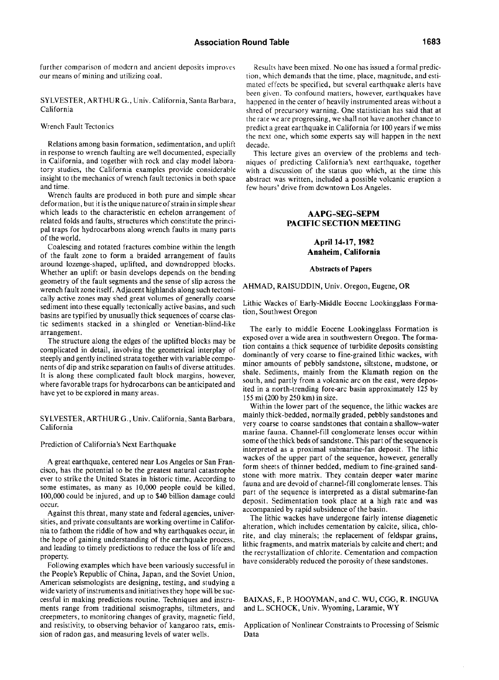further comparison of modern and ancient deposits improves our means of mining and utilizing coal.

SYLVESTER, ARTHUR G., Univ. California, Santa Barbara, California

#### Wrench Fault Tectonics

Relations among basin formation, sedimentation, and uplift in response to wrench faulting are well documented, especially in California, and together with rock and clay model laboratory studies, the California examples provide considerable insight to the mechanics of wrench fault tectonics in both space and time.

Wrench faults are produced in both pure and simple shear deformation, but it is the unique nature of strain in simple shear which leads to the characteristic en echelon arrangement of related folds and faults, structures which constitute the principal traps for hydrocarbons along wrench faults in many parts of the world.

Coalescing and rotated fractures comhine within the length of the fault zone to form a braided arrangement of faults around lozenge-shaped, uplifted, and downdropped blocks. Whether an uplift or basin develops depends on the bending geometry of the fault segments and the sense of slip across the wrench fault zone itself. Adjacent highlands along such tectonically active zones may shed great volumes of generally coarse sediment into these equally tectonically active basins, and such basins are typified by unusually thick sequences of coarse clastic sediments stacked in a shingled or Venetian-blind-like arrangement.

The structure along the edges of the uplifted blocks may be complicated in detail, involving the geometrical interplay of steeply and gently inclined strata together with variable components of dip and strike separation on faults of diverse attitudes. It is along these complicated fault block margins, however, where favorable traps for hydrocarbons can be anticipated and have yet to be explored in many areas.

SYLVESTER, ARTHUR G., Univ. California, Santa Barbara, California

#### Prediction of California's Next Earthquake

A great earthquake, centered near Los Angeles or San Francisco, has the potential to be the greatest natural catastrophe ever to strike the United States in historic time. According to some estimates, as many as 10,000 people could be killed, 100,000 could be injured, and up to \$40 billion damage could occur.

Against this threat, many state and federal agencies, universities, and private consultants are working overtime in California to fathom the riddle of how and why earthquakes occur, in the hope of gaining understanding of the earthquake process, and leading to timely predictions to reduce the loss of life and property.

Following examples which have been variously successful in the People's Republic of China, Japan, and the Soviet Union, American seismologists are designing, testing, and studying a wide variety of instruments and initiatives they hope will be successful in making predictions routine. Techniques and instruments range from traditional seismographs, tiltmeters, and creepmeters, to monitoring changes of gravity, magnetic field, and resistivity, to observing behavior of kangaroo rats, emission of radon gas, and measuring levels of water wells.

Results have been mixed. No one has issued a formal prediction, which demands that the time, place, magnitude, and estimated effects be specified, but several earthquake alerts have been given. To confound matters, however, earthquakes have happened in the center of heavily instrumented areas without a shred of precursory warning. One statistician has said that at the rate we are progressing, we shall not have another chance to predict a great earthquake in California for 100 years if we miss the next one, which some experts say will happen in the next decade.

This lecture gives an overview of the problems and techniques of predicting California's next earthquake, together with a discussion of the status quo which, at the time this abstract was written, included a possible volcanic eruption a few hours' drive from downtown Los Angeles.

# **AAPG-SEG-SEPM PACIFIC SECTION MEETING**

# **April 14-17,1982 Anaheim, California**

### **Abstracts of Papers**

AHMAD, RAISUDDIN, Univ. Oregon, Eugene, OR

Lithic Wackes of Early-Middle Eocene Lookingglass Formation, Southwest Oregon

The early to middle Eocene Lookingglass Formation is exposed over a wide area in southwestern Oregon. The formation contains a thick sequence of turbidite deposits consisting dominantly of very coarse to fine-grained lithic wackes, with minor amounts of pebbly sandstone, siltstone, mudstone, or shale. Sediments, mainly from the Klamath region on the south, and partly from a volcanic arc on the east, were deposited in a north-trending fore-arc basin approximately 125 by 155 mi (200 by 250 km) in size.

Within the lower part of the sequence, the lithic wackes are mainly thick-bedded, normally graded, pebbly sandstones and very coarse to coarse sandstones that contain a shallow-water marine fauna. Channel-fill conglomerate lenses occur within some of the thick beds of sandstone. This part of the sequence is interpreted as a proximal submarine-fan deposit. The lithic wackes of the upper part of the sequence, however, generally form sheets of thinner bedded, medium to fine-grained sandstone with more matrix. They contain deeper water marine fauna and are devoid of channel-fill conglomerate lenses. This part of the sequence is interpreted as a distal submarine-fan deposit. Sedimentation took place at a high rate and was accompanied by rapid subsidence of the basin.

The lithic wackes have undergone fairly intense diagenetic alteration, which includes cementation by calcite, silica, chlorite, and clay minerals; the replacement of feldspar grains, lithic fragments, and matrix materials by calcite and chert; and the recrystallization of chlorite. Cementation and compaction have considerably reduced the porosity of these sandstones.

BAIXAS, F., P. HOOYMAN, and C. WU, CGG, R. INGUVA and L. SCHOCK, Univ. Wyoming, Laramie, WY

Application of Nonlinear Constraints to Processing of Seismic **Data**